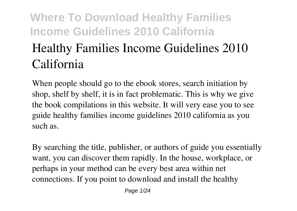# **Where To Download Healthy Families Income Guidelines 2010 California Healthy Families Income Guidelines 2010 California**

When people should go to the ebook stores, search initiation by shop, shelf by shelf, it is in fact problematic. This is why we give the book compilations in this website. It will very ease you to see guide **healthy families income guidelines 2010 california** as you such as.

By searching the title, publisher, or authors of guide you essentially want, you can discover them rapidly. In the house, workplace, or perhaps in your method can be every best area within net connections. If you point to download and install the healthy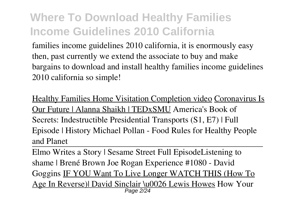families income guidelines 2010 california, it is enormously easy then, past currently we extend the associate to buy and make bargains to download and install healthy families income guidelines 2010 california so simple!

Healthy Families Home Visitation Completion video Coronavirus Is Our Future | Alanna Shaikh | TEDxSMU **America's Book of Secrets: Indestructible Presidential Transports (S1, E7) | Full Episode | History Michael Pollan - Food Rules for Healthy People and Planet**

Elmo Writes a Story | Sesame Street Full Episode*Listening to shame | Brené Brown Joe Rogan Experience #1080 - David Goggins* IF YOU Want To Live Longer WATCH THIS (How To Age In Reverse)| David Sinclair \u0026 Lewis Howes *How Your* Page 2/24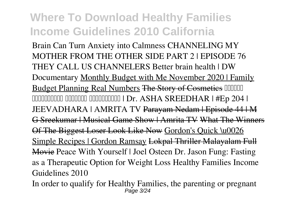*Brain Can Turn Anxiety into Calmness CHANNELING MY MOTHER FROM THE OTHER SIDE PART 2 | EPISODE 76 THEY CALL US CHANNELERS Better brain health | DW Documentary* Monthly Budget with Me November 2020 | Family Budget Planning Real Numbers The Story of Cosmeties COUCO DOODDOODDOODDOODDOODDOOD | Dr. ASHA SREEDHAR | #Ep 204 | JEEVADHARA | AMRITA TV Parayam Nedam | Episode 44 | M G Sreekumar | Musical Game Show | Amrita TV What The Winners Of The Biggest Loser Look Like Now Gordon's Quick \u0026 Simple Recipes | Gordon Ramsay Lokpal Thriller Malayalam Full Movie *Peace With Yourself | Joel Osteen* **Dr. Jason Fung: Fasting as a Therapeutic Option for Weight Loss Healthy Families Income Guidelines 2010**

In order to qualify for Healthy Families, the parenting or pregnant Page 3/24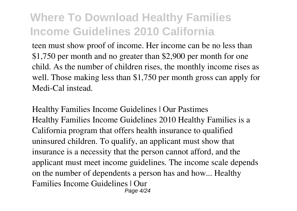teen must show proof of income. Her income can be no less than \$1,750 per month and no greater than \$2,900 per month for one child. As the number of children rises, the monthly income rises as well. Those making less than \$1,750 per month gross can apply for Medi-Cal instead.

**Healthy Families Income Guidelines | Our Pastimes** Healthy Families Income Guidelines 2010 Healthy Families is a California program that offers health insurance to qualified uninsured children. To qualify, an applicant must show that insurance is a necessity that the person cannot afford, and the applicant must meet income guidelines. The income scale depends on the number of dependents a person has and how... Healthy Families Income Guidelines | Our Page 4/24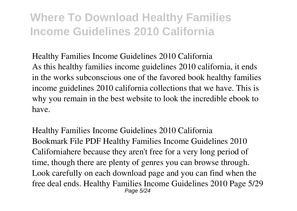**Healthy Families Income Guidelines 2010 California** As this healthy families income guidelines 2010 california, it ends in the works subconscious one of the favored book healthy families income guidelines 2010 california collections that we have. This is why you remain in the best website to look the incredible ebook to have.

**Healthy Families Income Guidelines 2010 California** Bookmark File PDF Healthy Families Income Guidelines 2010 Californiahere because they aren't free for a very long period of time, though there are plenty of genres you can browse through. Look carefully on each download page and you can find when the free deal ends. Healthy Families Income Guidelines 2010 Page 5/29 Page 5/24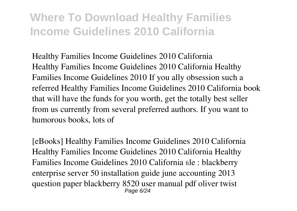**Healthy Families Income Guidelines 2010 California** Healthy Families Income Guidelines 2010 California Healthy Families Income Guidelines 2010 If you ally obsession such a referred Healthy Families Income Guidelines 2010 California book that will have the funds for you worth, get the totally best seller from us currently from several preferred authors. If you want to humorous books, lots of

**[eBooks] Healthy Families Income Guidelines 2010 California** Healthy Families Income Guidelines 2010 California Healthy Families Income Guidelines 2010 California file : blackberry enterprise server 50 installation guide june accounting 2013 question paper blackberry 8520 user manual pdf oliver twist Page 6/24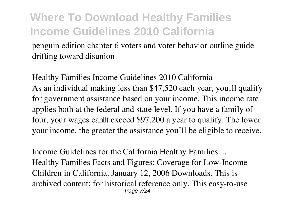penguin edition chapter 6 voters and voter behavior outline guide drifting toward disunion

**Healthy Families Income Guidelines 2010 California** As an individual making less than \$47,520 each year, youlll qualify for government assistance based on your income. This income rate applies both at the federal and state level. If you have a family of four, your wages can<sup>[]</sup>t exceed \$97,200 a year to qualify. The lower your income, the greater the assistance you'll be eligible to receive.

**Income Guidelines for the California Healthy Families ...** Healthy Families Facts and Figures: Coverage for Low-Income Children in California. January 12, 2006 Downloads. This is archived content; for historical reference only. This easy-to-use Page 7/24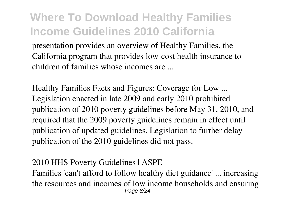presentation provides an overview of Healthy Families, the California program that provides low-cost health insurance to children of families whose incomes are ...

**Healthy Families Facts and Figures: Coverage for Low ...** Legislation enacted in late 2009 and early 2010 prohibited publication of 2010 poverty guidelines before May 31, 2010, and required that the 2009 poverty guidelines remain in effect until publication of updated guidelines. Legislation to further delay publication of the 2010 guidelines did not pass.

#### **2010 HHS Poverty Guidelines | ASPE**

Families 'can't afford to follow healthy diet guidance' ... increasing the resources and incomes of low income households and ensuring Page 8/24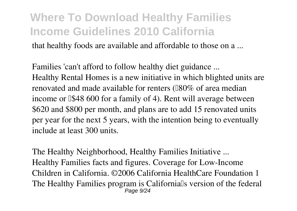that healthy foods are available and affordable to those on a ...

**Families 'can't afford to follow healthy diet guidance ...** Healthy Rental Homes is a new initiative in which blighted units are renovated and made available for renters ( $180\%$  of area median income or ∆\$48 600 for a family of 4). Rent will average between \$620 and \$800 per month, and plans are to add 15 renovated units per year for the next 5 years, with the intention being to eventually include at least 300 units.

**The Healthy Neighborhood, Healthy Families Initiative ...** Healthy Families facts and figures. Coverage for Low-Income Children in California. ©2006 California HealthCare Foundation 1 The Healthy Families program is Californialls version of the federal Page 9/24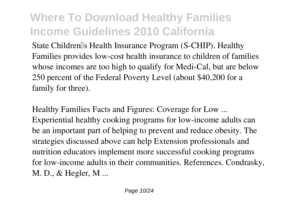State Children's Health Insurance Program (S-CHIP). Healthy Families provides low-cost health insurance to children of families whose incomes are too high to qualify for Medi-Cal, but are below 250 percent of the Federal Poverty Level (about \$40,200 for a family for three).

**Healthy Families Facts and Figures: Coverage for Low ...** Experiential healthy cooking programs for low-income adults can be an important part of helping to prevent and reduce obesity. The strategies discussed above can help Extension professionals and nutrition educators implement more successful cooking programs for low-income adults in their communities. References. Condrasky, M. D., & Hegler, M ...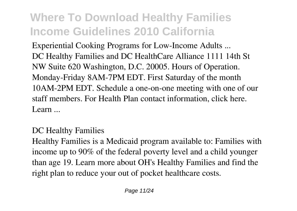**Experiential Cooking Programs for Low-Income Adults ...** DC Healthy Families and DC HealthCare Alliance 1111 14th St NW Suite 620 Washington, D.C. 20005. Hours of Operation. Monday-Friday 8AM-7PM EDT. First Saturday of the month 10AM-2PM EDT. Schedule a one-on-one meeting with one of our staff members. For Health Plan contact information, click here. Learn ...

#### **DC Healthy Families**

Healthy Families is a Medicaid program available to: Families with income up to 90% of the federal poverty level and a child younger than age 19. Learn more about OH's Healthy Families and find the right plan to reduce your out of pocket healthcare costs.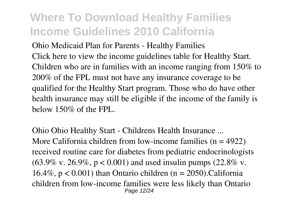**Ohio Medicaid Plan for Parents - Healthy Families** Click here to view the income guidelines table for Healthy Start. Children who are in families with an income ranging from 150% to 200% of the FPL must not have any insurance coverage to be qualified for the Healthy Start program. Those who do have other health insurance may still be eligible if the income of the family is below 150% of the FPL.

**Ohio Ohio Healthy Start - Childrens Health Insurance ...** More California children from low-income families  $(n = 4922)$ received routine care for diabetes from pediatric endocrinologists  $(63.9\% \text{ v. } 26.9\%, \text{ p} < 0.001)$  and used insulin pumps  $(22.8\% \text{ v. } 26.9\% \text{ v. } 26.9\% \text{ v. } 26.9\% \text{ v. } 26.9\% \text{ v. } 26.9\% \text{ v. } 26.9\% \text{ v. } 26.9\% \text{ v. } 26.9\% \text{ v. } 26.9\% \text{ v. } 26.9\% \text{ v. } 26.9\% \text{ v. } 26$ 16.4%,  $p < 0.001$ ) than Ontario children (n = 2050). California children from low-income families were less likely than Ontario Page 12/24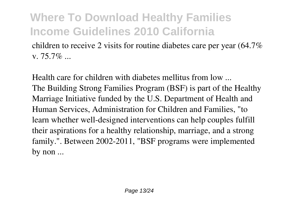children to receive 2 visits for routine diabetes care per year (64.7% v. 75.7%  $\sim$ 

**Health care for children with diabetes mellitus from low ...** The Building Strong Families Program (BSF) is part of the Healthy Marriage Initiative funded by the U.S. Department of Health and Human Services, Administration for Children and Families, "to learn whether well-designed interventions can help couples fulfill their aspirations for a healthy relationship, marriage, and a strong family.". Between 2002-2011, "BSF programs were implemented by non ...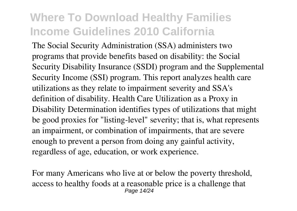The Social Security Administration (SSA) administers two programs that provide benefits based on disability: the Social Security Disability Insurance (SSDI) program and the Supplemental Security Income (SSI) program. This report analyzes health care utilizations as they relate to impairment severity and SSA's definition of disability. Health Care Utilization as a Proxy in Disability Determination identifies types of utilizations that might be good proxies for "listing-level" severity; that is, what represents an impairment, or combination of impairments, that are severe enough to prevent a person from doing any gainful activity, regardless of age, education, or work experience.

For many Americans who live at or below the poverty threshold, access to healthy foods at a reasonable price is a challenge that Page 14/24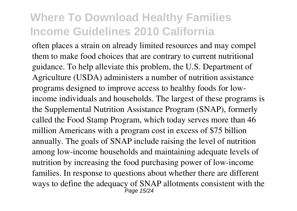often places a strain on already limited resources and may compel them to make food choices that are contrary to current nutritional guidance. To help alleviate this problem, the U.S. Department of Agriculture (USDA) administers a number of nutrition assistance programs designed to improve access to healthy foods for lowincome individuals and households. The largest of these programs is the Supplemental Nutrition Assistance Program (SNAP), formerly called the Food Stamp Program, which today serves more than 46 million Americans with a program cost in excess of \$75 billion annually. The goals of SNAP include raising the level of nutrition among low-income households and maintaining adequate levels of nutrition by increasing the food purchasing power of low-income families. In response to questions about whether there are different ways to define the adequacy of SNAP allotments consistent with the Page 15/24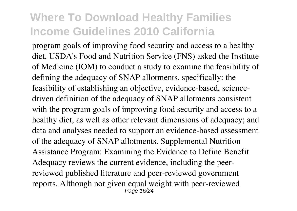program goals of improving food security and access to a healthy diet, USDA's Food and Nutrition Service (FNS) asked the Institute of Medicine (IOM) to conduct a study to examine the feasibility of defining the adequacy of SNAP allotments, specifically: the feasibility of establishing an objective, evidence-based, sciencedriven definition of the adequacy of SNAP allotments consistent with the program goals of improving food security and access to a healthy diet, as well as other relevant dimensions of adequacy; and data and analyses needed to support an evidence-based assessment of the adequacy of SNAP allotments. Supplemental Nutrition Assistance Program: Examining the Evidence to Define Benefit Adequacy reviews the current evidence, including the peerreviewed published literature and peer-reviewed government reports. Although not given equal weight with peer-reviewed Page 16/24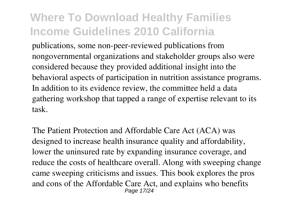publications, some non-peer-reviewed publications from nongovernmental organizations and stakeholder groups also were considered because they provided additional insight into the behavioral aspects of participation in nutrition assistance programs. In addition to its evidence review, the committee held a data gathering workshop that tapped a range of expertise relevant to its task.

The Patient Protection and Affordable Care Act (ACA) was designed to increase health insurance quality and affordability, lower the uninsured rate by expanding insurance coverage, and reduce the costs of healthcare overall. Along with sweeping change came sweeping criticisms and issues. This book explores the pros and cons of the Affordable Care Act, and explains who benefits Page 17/24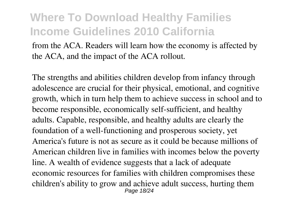from the ACA. Readers will learn how the economy is affected by the ACA, and the impact of the ACA rollout.

The strengths and abilities children develop from infancy through adolescence are crucial for their physical, emotional, and cognitive growth, which in turn help them to achieve success in school and to become responsible, economically self-sufficient, and healthy adults. Capable, responsible, and healthy adults are clearly the foundation of a well-functioning and prosperous society, yet America's future is not as secure as it could be because millions of American children live in families with incomes below the poverty line. A wealth of evidence suggests that a lack of adequate economic resources for families with children compromises these children's ability to grow and achieve adult success, hurting them Page 18/24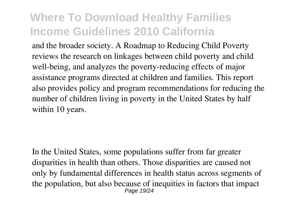and the broader society. A Roadmap to Reducing Child Poverty reviews the research on linkages between child poverty and child well-being, and analyzes the poverty-reducing effects of major assistance programs directed at children and families. This report also provides policy and program recommendations for reducing the number of children living in poverty in the United States by half within 10 years.

In the United States, some populations suffer from far greater disparities in health than others. Those disparities are caused not only by fundamental differences in health status across segments of the population, but also because of inequities in factors that impact Page 19/24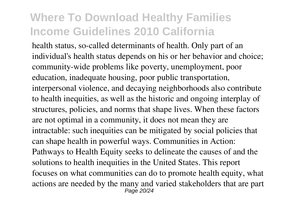health status, so-called determinants of health. Only part of an individual's health status depends on his or her behavior and choice; community-wide problems like poverty, unemployment, poor education, inadequate housing, poor public transportation, interpersonal violence, and decaying neighborhoods also contribute to health inequities, as well as the historic and ongoing interplay of structures, policies, and norms that shape lives. When these factors are not optimal in a community, it does not mean they are intractable: such inequities can be mitigated by social policies that can shape health in powerful ways. Communities in Action: Pathways to Health Equity seeks to delineate the causes of and the solutions to health inequities in the United States. This report focuses on what communities can do to promote health equity, what actions are needed by the many and varied stakeholders that are part Page 20/24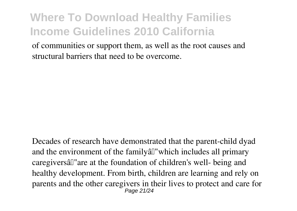of communities or support them, as well as the root causes and structural barriers that need to be overcome.

Decades of research have demonstrated that the parent-child dyad and the environment of the family all which includes all primary caregiversâ€"are at the foundation of children's well- being and healthy development. From birth, children are learning and rely on parents and the other caregivers in their lives to protect and care for Page 21/24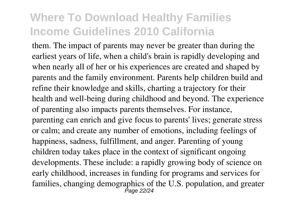them. The impact of parents may never be greater than during the earliest years of life, when a child's brain is rapidly developing and when nearly all of her or his experiences are created and shaped by parents and the family environment. Parents help children build and refine their knowledge and skills, charting a trajectory for their health and well-being during childhood and beyond. The experience of parenting also impacts parents themselves. For instance, parenting can enrich and give focus to parents' lives; generate stress or calm; and create any number of emotions, including feelings of happiness, sadness, fulfillment, and anger. Parenting of young children today takes place in the context of significant ongoing developments. These include: a rapidly growing body of science on early childhood, increases in funding for programs and services for families, changing demographics of the U.S. population, and greater Page 22/24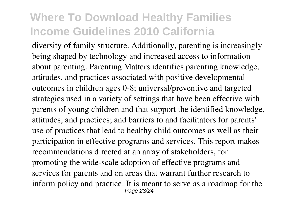diversity of family structure. Additionally, parenting is increasingly being shaped by technology and increased access to information about parenting. Parenting Matters identifies parenting knowledge, attitudes, and practices associated with positive developmental outcomes in children ages 0-8; universal/preventive and targeted strategies used in a variety of settings that have been effective with parents of young children and that support the identified knowledge, attitudes, and practices; and barriers to and facilitators for parents' use of practices that lead to healthy child outcomes as well as their participation in effective programs and services. This report makes recommendations directed at an array of stakeholders, for promoting the wide-scale adoption of effective programs and services for parents and on areas that warrant further research to inform policy and practice. It is meant to serve as a roadmap for the Page 23/24